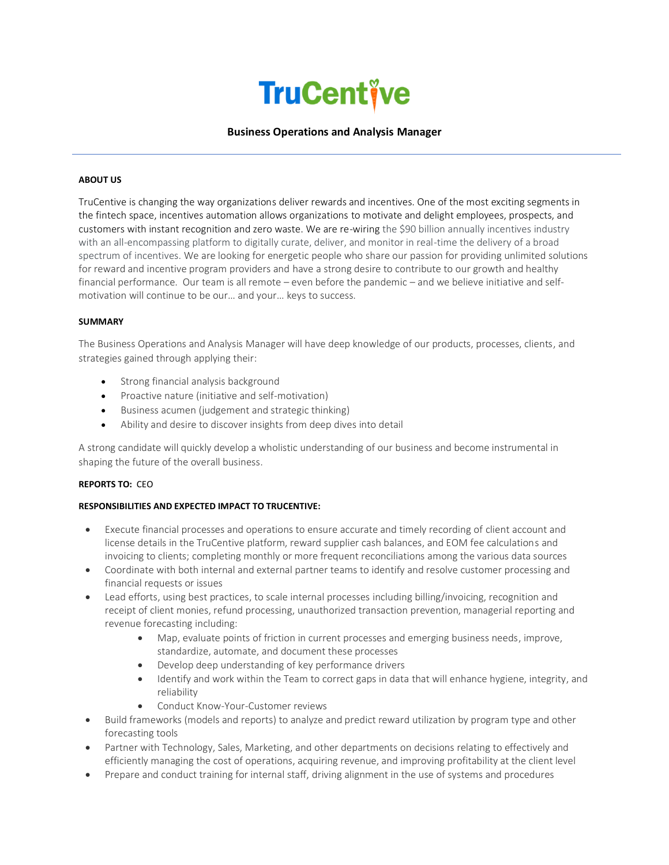

## **Business Operations and Analysis Manager**

## **ABOUT US**

TruCentive is changing the way organizations deliver rewards and incentives. One of the most exciting segments in the fintech space, incentives automation allows organizations to motivate and delight employees, prospects, and customers with instant recognition and zero waste. We are re-wiring the \$90 billion annually incentives industry with an all-encompassing platform to digitally curate, deliver, and monitor in real-time the delivery of a broad spectrum of incentives. We are looking for energetic people who share our passion for providing unlimited solutions for reward and incentive program providers and have a strong desire to contribute to our growth and healthy financial performance. Our team is all remote – even before the pandemic – and we believe initiative and selfmotivation will continue to be our… and your… keys to success.

#### **SUMMARY**

The Business Operations and Analysis Manager will have deep knowledge of our products, processes, clients, and strategies gained through applying their:

- Strong financial analysis background
- Proactive nature (initiative and self-motivation)
- Business acumen (judgement and strategic thinking)
- Ability and desire to discover insights from deep dives into detail

A strong candidate will quickly develop a wholistic understanding of our business and become instrumental in shaping the future of the overall business.

### **REPORTS TO:** CEO

## **RESPONSIBILITIES AND EXPECTED IMPACT TO TRUCENTIVE:**

- Execute financial processes and operations to ensure accurate and timely recording of client account and license details in the TruCentive platform, reward supplier cash balances, and EOM fee calculations and invoicing to clients; completing monthly or more frequent reconciliations among the various data sources
- Coordinate with both internal and external partner teams to identify and resolve customer processing and financial requests or issues
- Lead efforts, using best practices, to scale internal processes including billing/invoicing, recognition and receipt of client monies, refund processing, unauthorized transaction prevention, managerial reporting and revenue forecasting including:
	- Map, evaluate points of friction in current processes and emerging business needs, improve, standardize, automate, and document these processes
	- Develop deep understanding of key performance drivers
	- Identify and work within the Team to correct gaps in data that will enhance hygiene, integrity, and reliability
	- Conduct Know-Your-Customer reviews
- Build frameworks (models and reports) to analyze and predict reward utilization by program type and other forecasting tools
- Partner with Technology, Sales, Marketing, and other departments on decisions relating to effectively and efficiently managing the cost of operations, acquiring revenue, and improving profitability at the client level
- Prepare and conduct training for internal staff, driving alignment in the use of systems and procedures